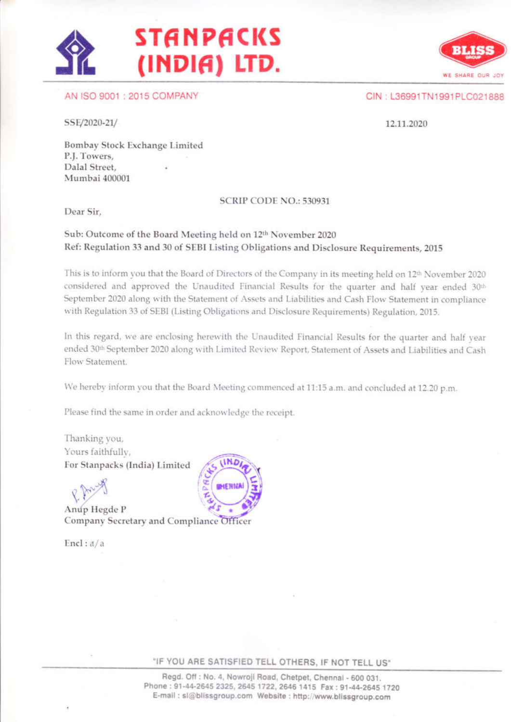# **STANPACKS** (INDIA) LTD.

AN ISO 9001: 2015 COMPANY

CIN: L36991TN1991PLC021888

WE SHARE OUR JOY

SSE/2020-21/

12.11.2020

Bombay Stock Exchange Limited P.J. Towers. Dalal Street. Mumbai 400001

### SCRIP CODE NO.: 530931

Dear Sir,

## Sub: Outcome of the Board Meeting held on 12th November 2020 Ref: Regulation 33 and 30 of SEBI Listing Obligations and Disclosure Requirements, 2015

This is to inform you that the Board of Directors of the Company in its meeting held on 12th November 2020 considered and approved the Unaudited Financial Results for the quarter and half year ended 30th September 2020 along with the Statement of Assets and Liabilities and Cash Flow Statement in compliance with Regulation 33 of SEBI (Listing Obligations and Disclosure Requirements) Regulation, 2015.

In this regard, we are enclosing herewith the Unaudited Financial Results for the quarter and half year ended 30th September 2020 along with Limited Review Report, Statement of Assets and Liabilities and Cash Flow Statement.

We hereby inform you that the Board Meeting commenced at 11:15 a.m. and concluded at 12.20 p.m.

Please find the same in order and acknowledge the receipt.

Thanking you, Yours faithfully, For Stanpacks (India) Limited

Anup Hegde P Company Secretary and Compliance Officer

Encl:  $d/a$ 



"IF YOU ARE SATISFIED TELL OTHERS, IF NOT TELL US"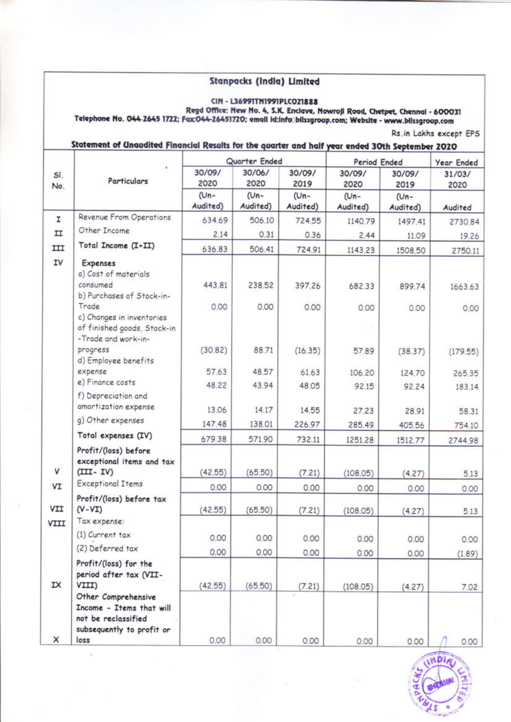# **Stanpacks (India) Limited**

CIN - L36991TN1991PLCO21888<br>Regd Office: New No. 4, S.K. Enclave, Nowroji Road, Chetpet, Chennai - 600031<br>Telephone No. 044-2645 1722; Fax:044-26451720; email id:infa@blissgroap.com; Website - www.blissgroap.com

# Statement of Unaudited Financial Results for the quarter and half year ended 30th September 2020

|                |                                                                                                             |                     | Quarter Ended       |                     | Period Ended     |                     | Year Ended     |
|----------------|-------------------------------------------------------------------------------------------------------------|---------------------|---------------------|---------------------|------------------|---------------------|----------------|
| SI.<br>No.     | Particulars                                                                                                 | 30/09/<br>2020      | 30/06/<br>2020      | 30/09/<br>2019      | 30/09/<br>2020   | 30/09/<br>2019      | 31/03/<br>2020 |
|                |                                                                                                             | $(Un -$<br>Audited) | $(Un -$<br>Audited) | $(Un -$<br>Audited) | (Un-<br>Audited) | $(Un -$<br>Audited) | Audited        |
| I              | Revenue From Operations                                                                                     | 634.69              | 506.10              | 724.55              | 1140.79          | 1497.41             | 2730.84        |
| $_{\text{II}}$ | Other Income                                                                                                | 2.14                | 0.31                | 0.36                | 2.44             | 11.09               | 19.26          |
| III            | Total Income (I+II)                                                                                         | 636.83              | 506.41              | 724.91              | 1143.23          | 1508.50             | 2750.11        |
| IV             | Expenses<br>a) Cost of materials<br>consumed<br>b) Purchases of Stock-in-<br>Trade                          | 443.81<br>0.00      | 238.52<br>0.00      | 397.26              | 682.33           | 899.74              | 1663.63        |
|                | c) Changes in inventories<br>of finished goods, Stock-in<br>-Trade and work-in-                             |                     |                     | 0.00                | 0.00             | 0.00                | 0.00           |
|                | progress<br>d) Employee benefits                                                                            | (30.82)             | 88.71               | (16.35)             | 57.89            | (38.37)             | (179.55)       |
|                | expense                                                                                                     | 57.63               | 48.57               | 61.63               | 106.20           | 124.70              | 265.35         |
|                | e) Finance costs                                                                                            | 48.22               | 43.94               | 48.05               | 92.15            | 92.24               | 183.14         |
|                | f) Depreciation and<br>amortization expense                                                                 | 13.06               | 14.17               | 14.55               | 27.23            | 28.91               | 58.31          |
|                | g) Other expenses                                                                                           | 147.48              | 138.01              | 226.97              | 285.49           | 405.56              | 754.10         |
|                | Total expenses (IV)                                                                                         | 679.38              | 571.90              | 732.11              | 1251.28          | 1512.77             | 2744.98        |
|                | Profit/(loss) before<br>exceptional items and tax                                                           |                     |                     |                     |                  |                     |                |
| V              | $(III - IV)$                                                                                                | (42.55)             | (65.50)             | (7.21)              | (108.05)         | (4.27)              | 5.13           |
| VI             | <b>Exceptional Items</b>                                                                                    | 0.00                | 0.00                | 0.00                | 0.00             | 0.00                | 0.00           |
| VII            | Profit/(loss) before tax<br>$(V - VI)$                                                                      | (42.55)             | (65.50)             | (7.21)              | (108.05)         | (4.27)              | 5.13           |
| VIII           | Tax expense:                                                                                                |                     |                     |                     |                  |                     |                |
|                | (1) Current tax                                                                                             | 0.00                | 0.00                | 0.00                | 0.00             | 0.00                | 0.00           |
|                | (2) Deferred tax                                                                                            | 0.00                | 0.00                | 0.00                | 0.00             | 0.00                | (1.89)         |
| IX             | Profit/(loss) for the<br>period after tax (VII-<br>VIII)                                                    | (42.55)             | (65.50)             |                     |                  |                     |                |
| ×              | Other Comprehensive<br>Income - Items that will<br>not be reclassified<br>subsequently to profit or<br>loss | 0.00                | 0.00                | (7.21)<br>0.00      | (108.05)<br>0.00 | (4.27)<br>0.00      | 7.02<br>0.00   |



Rs.in Lakhs except EPS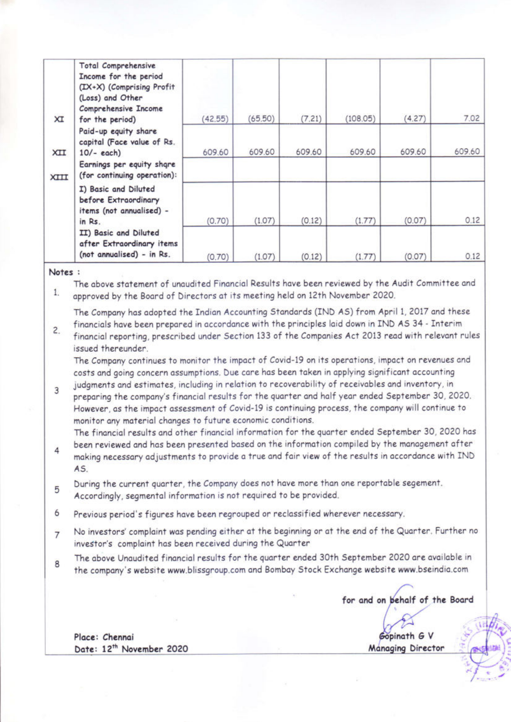| XI   | Total Comprehensive<br>Income for the period<br>(IX+X) (Comprising Profit<br>(Loss) and Other<br>Comprehensive Income<br>for the period) | (42.55) | (65.50) | (7.21) | (108.05) | (4.27) | 7.02   |
|------|------------------------------------------------------------------------------------------------------------------------------------------|---------|---------|--------|----------|--------|--------|
| XII  | Paid-up equity share<br>capital (Face value of Rs.<br>$10/-$ each)                                                                       | 609.60  | 609.60  | 609.60 | 609.60   | 609.60 | 609.60 |
| XIII | Earnings per equity share<br>(for continuing operation):                                                                                 |         |         |        |          |        |        |
|      | I) Basic and Diluted<br>before Extraordinary<br>items (not annualised) -<br>in Rs.                                                       | (0.70)  | (1.07)  | (0.12) | (1.77)   | (0.07) | 0.12   |
|      | II) Basic and Diluted<br>after Extraordinary items<br>(not annualised) - in Rs.                                                          | (0.70)  | (1.07)  | (0.12) | (1.77)   | (0.07) | 0.12   |

Notes:

The above statement of unaudited Financial Results have been reviewed by the Audit Committee and  $1.$ approved by the Board of Directors at its meeting held on 12th November 2020.

The Company has adopted the Indian Accounting Standards (IND AS) from April 1, 2017 and these financials have been prepared in accordance with the principles laid down in IND AS 34 - Interim

 $\overline{c}$ . financial reporting, prescribed under Section 133 of the Companies Act 2013 read with relevant rules issued thereunder.

The Company continues to monitor the impact of Covid-19 on its operations, impact on revenues and costs and going concern assumptions. Due care has been taken in applying significant accounting judgments and estimates, including in relation to recoverability of receivables and inventory, in

 $\overline{3}$ preparing the company's financial results for the quarter and half year ended September 30, 2020. However, as the impact assessment of Covid-19 is continuing process, the company will continue to monitor any material changes to future economic conditions.

The financial results and other financial information for the quarter ended September 30, 2020 has been reviewed and has been presented based on the information compiled by the management after

- 4 making necessary adjustments to provide a true and fair view of the results in accordance with IND AS.
- During the current quarter, the Company does not have more than one reportable segement. 5 Accordingly, segmental information is not required to be provided.
- 6 Previous period's figures have been regrouped or reclassified wherever necessary.
- No investors' complaint was pending either at the beginning or at the end of the Quarter. Further no  $\overline{7}$ investor's complaint has been received during the Quarter
- The above Unaudited financial results for the quarter ended 30th September 2020 are available in 8 the company's website www.blissgroup.com and Bombay Stock Exchange website www.bseindia.com

for and on behalf of the Board

opinath G V **Managing Director** 

Place: Chennai Date: 12<sup>th</sup> November 2020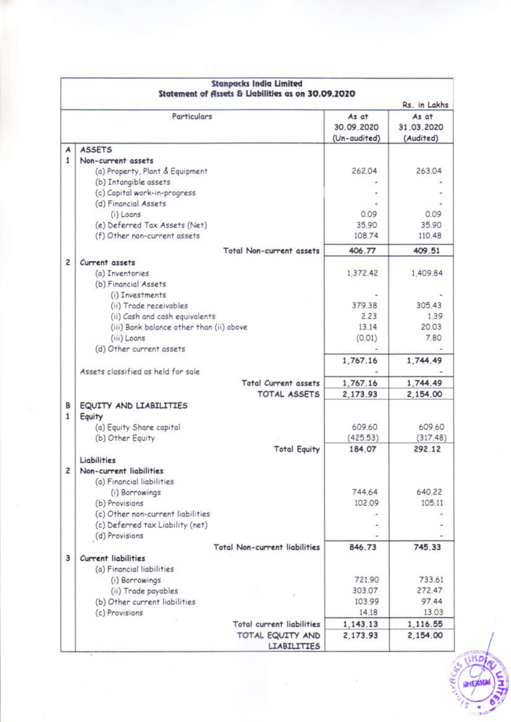|                |                                          |                                      |                                     | Rs. in Lakhs                     |
|----------------|------------------------------------------|--------------------------------------|-------------------------------------|----------------------------------|
|                | Particulars                              |                                      | As at<br>30.09.2020<br>(Un-audited) | As at<br>31.03.2020<br>(Audited) |
| A              | <b>ASSETS</b>                            |                                      |                                     |                                  |
| 1              | Non-current assets                       |                                      |                                     |                                  |
|                | (a) Property, Plant & Equipment          |                                      | 262.04                              | 263.04                           |
|                | (b) Intangible assets                    |                                      |                                     |                                  |
|                | (c) Capital work-in-progress             |                                      |                                     |                                  |
|                | (d) Financial Assets                     |                                      |                                     |                                  |
|                | (i) Loans                                |                                      | 0.09                                | 0.09                             |
|                | (e) Deferred Tax Assets (Net)            |                                      | 35.90                               | 35.90                            |
|                | (f) Other non-current assets             |                                      | 108.74                              | 110.48                           |
|                |                                          | Total Non-current assets             | 406.77                              | 409.51                           |
| $\overline{c}$ | Current assets                           |                                      |                                     |                                  |
|                | (a) Inventories                          |                                      | 1,372.42                            | 1,409.84                         |
|                | (b) Financial Assets                     |                                      |                                     |                                  |
|                | (i) Investments                          |                                      |                                     |                                  |
|                | (ii) Trade receivables                   |                                      | 379.38                              | 305.43                           |
|                | (ii) Cash and cash equivalents           |                                      | 2.23                                | 1.39                             |
|                | (iii) Bank balance other than (ii) above |                                      | 13.14                               | 20.03                            |
|                | (iii) Loans                              |                                      | (0.01)                              | 7.80                             |
|                | (d) Other current assets                 |                                      |                                     |                                  |
|                |                                          |                                      | 1,767.16                            | 1,744.49                         |
|                | Assets classified as held for sale       |                                      |                                     |                                  |
|                |                                          | Total Current assets                 | 1,767.16                            | 1,744.49                         |
|                |                                          | TOTAL ASSETS                         | 2,173.93                            | 2,154.00                         |
| в              | EQUITY AND LIABILITIES                   |                                      |                                     |                                  |
| 1              | Equity                                   |                                      |                                     |                                  |
|                | (a) Equity Share capital                 |                                      | 609.60                              | 609.60                           |
|                | (b) Other Equity                         |                                      | (425.53)                            | (317.48)                         |
|                |                                          | <b>Total Equity</b>                  | 184.07                              | 292.12                           |
|                | Liabilities                              |                                      |                                     |                                  |
| $\overline{c}$ | Non-current liabilities                  |                                      |                                     |                                  |
|                | (a) Financial liabilities                |                                      |                                     |                                  |
|                | (i) Borrowings                           |                                      | 744.64                              | 640.22                           |
|                | (b) Provisions                           |                                      | 102.09                              | 105.11                           |
|                | (c) Other non-current liabilities        |                                      |                                     |                                  |
|                | (c) Deferred tax Liability (net)         |                                      |                                     |                                  |
|                | (d) Provisions                           |                                      |                                     |                                  |
|                |                                          | <b>Total Non-current liabilities</b> | 846.73                              | 745.33                           |
| 3              | <b>Current liabilities</b>               |                                      |                                     |                                  |
|                | (a) Financial liabilities                |                                      |                                     |                                  |
|                | (i) Borrowings                           |                                      | 721.90                              | 733.61                           |
|                | (ii) Trade payables                      |                                      | 303.07                              | 272.47                           |
|                | (b) Other current liabilities            |                                      | 103.99                              | 97.44                            |
|                | (c) Provisions                           |                                      | 14.18                               | 13.03                            |
|                |                                          | Total current liabilities            | 1,143.13                            | 1,116.55                         |
|                |                                          | TOTAL EQUITY AND                     | 2,173.93                            | 2,154.00                         |
|                |                                          | <b>LIABILITIES</b>                   |                                     |                                  |



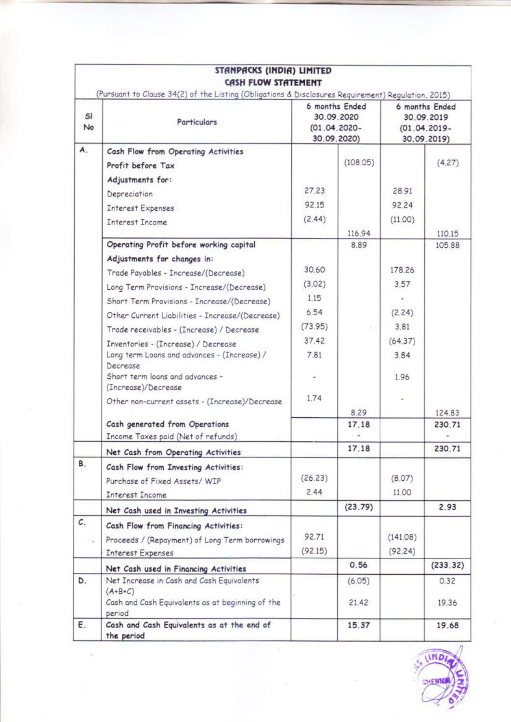|                 | STANPACKS (INDIA) LIMITED<br>CASH FLOW STATEMENT                                                                  |                                                                |                 |                                                                |               |
|-----------------|-------------------------------------------------------------------------------------------------------------------|----------------------------------------------------------------|-----------------|----------------------------------------------------------------|---------------|
| SI<br>No        | (Pursuant to Clause 34(2) of the Listing (Obligations & Disclosures Requirement) Regulation, 2015)<br>Particulars | 6 months Ended<br>30.09.2020<br>$(01.04.2020 -$<br>30.09.2020) |                 | 6 months Ended<br>30.09.2019<br>$(01.04.2019 -$<br>30.09.2019) |               |
| A.              | Cash Flow from Operating Activities                                                                               |                                                                |                 |                                                                |               |
|                 | Profit before Tax                                                                                                 |                                                                | (108.05)        |                                                                | (4.27)        |
|                 | Adjustments for:                                                                                                  |                                                                |                 |                                                                |               |
|                 | Depreciation                                                                                                      | 27.23                                                          |                 | 28.91                                                          |               |
|                 | <b>Interest Expenses</b>                                                                                          | 92.15                                                          |                 | 92.24                                                          |               |
|                 | <b>Interest Income</b>                                                                                            | (2.44)                                                         |                 | (11.00)                                                        |               |
|                 |                                                                                                                   |                                                                | 116.94          |                                                                | 110.15        |
|                 | Operating Profit before working capital                                                                           |                                                                | 8.89            |                                                                | 105.88        |
|                 | Adjustments for changes in:                                                                                       |                                                                |                 |                                                                |               |
|                 | Trade Payables - Increase/(Decrease)                                                                              | 30.60                                                          |                 | 178.26                                                         |               |
|                 | Long Term Provisions - Increase/(Decrease)                                                                        | (3.02)                                                         |                 | 3.57                                                           |               |
|                 | Short Term Provisions - Increase/(Decrease)                                                                       | 1.15                                                           |                 |                                                                |               |
|                 | Other Current Liabilities - Increase/(Decrease)                                                                   | 6.54                                                           |                 | (2.24)                                                         |               |
|                 | Trade receivables - (Increase) / Decrease                                                                         | (73.95)                                                        |                 | 3.81                                                           |               |
|                 | Inventories - (Increase) / Decrease                                                                               | 37.42                                                          |                 | (64.37)                                                        |               |
|                 | Long term Loans and advances - (Increase) /<br>Decrease<br>Short term loans and advances -                        | 7.81                                                           |                 | 3.84<br>1.96                                                   |               |
|                 | (Increase)/Decrease                                                                                               |                                                                |                 |                                                                |               |
|                 | Other non-current assets - (Increase)/Decrease                                                                    | 1.74                                                           |                 |                                                                |               |
|                 |                                                                                                                   |                                                                | 8.29            |                                                                | 124.83        |
|                 | Cash generated from Operations<br>Income Taxes paid (Net of refunds)                                              |                                                                | 17.18           |                                                                | 230.71        |
|                 | Net Cash from Operating Activities                                                                                |                                                                | 17.18           |                                                                | 230.71        |
| В.              |                                                                                                                   |                                                                |                 |                                                                |               |
|                 | Cash Flow from Investing Activities:                                                                              | (26.23)                                                        |                 | (8.07)                                                         |               |
|                 | Purchase of Fixed Assets/ WIP                                                                                     | 2.44                                                           |                 | 11.00                                                          |               |
|                 | <b>Interest Income</b>                                                                                            |                                                                | (23.79)         |                                                                | 2.93          |
| $\mathcal{C}$ . | Net Cash used in Investing Activities                                                                             |                                                                |                 |                                                                |               |
|                 | Cash Flow from Financing Activities:                                                                              | 92.71                                                          |                 |                                                                |               |
|                 | Proceeds / (Repayment) of Long Term borrowings                                                                    | (92.15)                                                        |                 | (141.08)                                                       |               |
|                 | <b>Interest Expenses</b>                                                                                          |                                                                |                 | (92.24)                                                        |               |
|                 | Net Cash used in Financing Activities                                                                             |                                                                | 0.56            |                                                                | (233.32)      |
| D.              | Net Increase in Cash and Cash Equivalents<br>$(A+B+C)$<br>Cash and Cash Equivalents as at beginning of the        |                                                                | (6.05)<br>21.42 |                                                                | 0.32<br>19.36 |
|                 | period                                                                                                            |                                                                |                 |                                                                |               |
| Ε.              | Cash and Cash Equivalents as at the end of<br>the period                                                          |                                                                | 15.37           |                                                                | 19.68         |